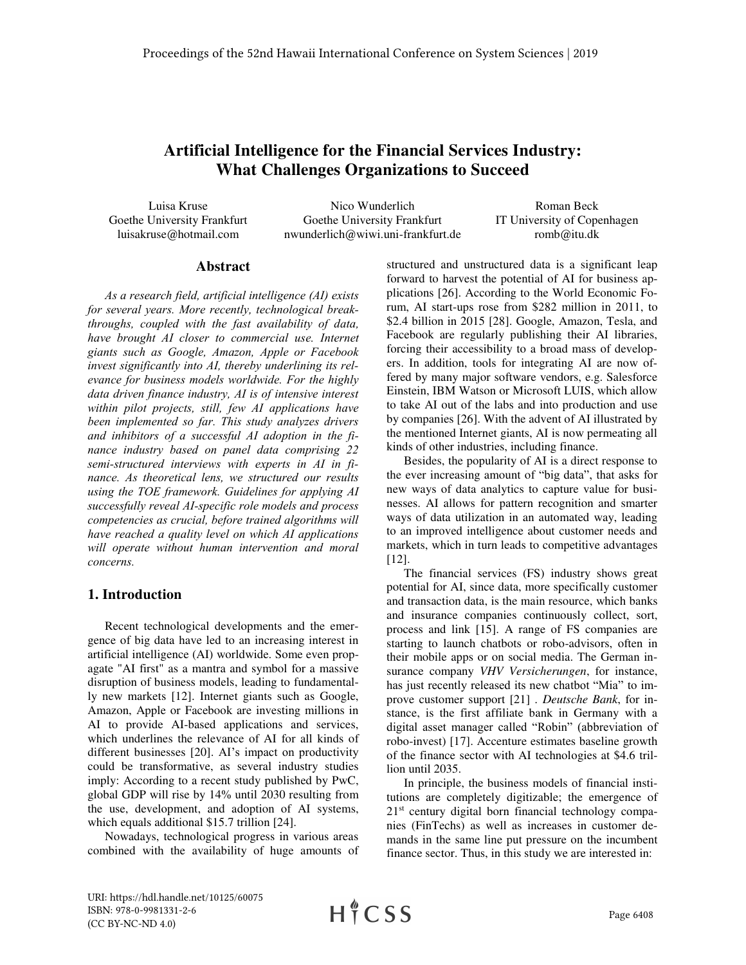# **Artificial Intelligence for the Financial Services Industry: What Challenges Organizations to Succeed**

Luisa Kruse Goethe University Frankfurt luisakruse@hotmail.com

Nico Wunderlich Goethe University Frankfurt nwunderlich@wiwi.uni-frankfurt.de

Roman Beck IT University of Copenhagen romb@itu.dk

#### **Abstract**

*As a research field, artificial intelligence (AI) exists for several years. More recently, technological breakthroughs, coupled with the fast availability of data, have brought AI closer to commercial use. Internet giants such as Google, Amazon, Apple or Facebook invest significantly into AI, thereby underlining its relevance for business models worldwide. For the highly data driven finance industry, AI is of intensive interest within pilot projects, still, few AI applications have been implemented so far. This study analyzes drivers and inhibitors of a successful AI adoption in the finance industry based on panel data comprising 22 semi-structured interviews with experts in AI in finance. As theoretical lens, we structured our results using the TOE framework. Guidelines for applying AI successfully reveal AI-specific role models and process competencies as crucial, before trained algorithms will have reached a quality level on which AI applications will operate without human intervention and moral concerns.* 

### **1. Introduction**

Recent technological developments and the emergence of big data have led to an increasing interest in artificial intelligence (AI) worldwide. Some even propagate "AI first" as a mantra and symbol for a massive disruption of business models, leading to fundamentally new markets [12]. Internet giants such as Google, Amazon, Apple or Facebook are investing millions in AI to provide AI-based applications and services, which underlines the relevance of AI for all kinds of different businesses [20]. AI's impact on productivity could be transformative, as several industry studies imply: According to a recent study published by PwC, global GDP will rise by 14% until 2030 resulting from the use, development, and adoption of AI systems, which equals additional \$15.7 trillion [24].

Nowadays, technological progress in various areas combined with the availability of huge amounts of structured and unstructured data is a significant leap forward to harvest the potential of AI for business applications [26]. According to the World Economic Forum, AI start-ups rose from \$282 million in 2011, to \$2.4 billion in 2015 [28]. Google, Amazon, Tesla, and Facebook are regularly publishing their AI libraries, forcing their accessibility to a broad mass of developers. In addition, tools for integrating AI are now offered by many major software vendors, e.g. Salesforce Einstein, IBM Watson or Microsoft LUIS, which allow to take AI out of the labs and into production and use by companies [26]. With the advent of AI illustrated by the mentioned Internet giants, AI is now permeating all kinds of other industries, including finance.

Besides, the popularity of AI is a direct response to the ever increasing amount of "big data", that asks for new ways of data analytics to capture value for businesses. AI allows for pattern recognition and smarter ways of data utilization in an automated way, leading to an improved intelligence about customer needs and markets, which in turn leads to competitive advantages [12].

The financial services (FS) industry shows great potential for AI, since data, more specifically customer and transaction data, is the main resource, which banks and insurance companies continuously collect, sort, process and link [15]. A range of FS companies are starting to launch chatbots or robo-advisors, often in their mobile apps or on social media. The German insurance company *VHV Versicherungen*, for instance, has just recently released its new chatbot "Mia" to improve customer support [21] . *Deutsche Bank*, for instance, is the first affiliate bank in Germany with a digital asset manager called "Robin" (abbreviation of robo-invest) [17]. Accenture estimates baseline growth of the finance sector with AI technologies at \$4.6 trillion until 2035.

In principle, the business models of financial institutions are completely digitizable; the emergence of 21<sup>st</sup> century digital born financial technology companies (FinTechs) as well as increases in customer demands in the same line put pressure on the incumbent finance sector. Thus, in this study we are interested in:

URI: https://hdl.handle.net/10125/60075 ISBN: 978-0-9981331-2-6 (CC BY-NC-ND 4.0)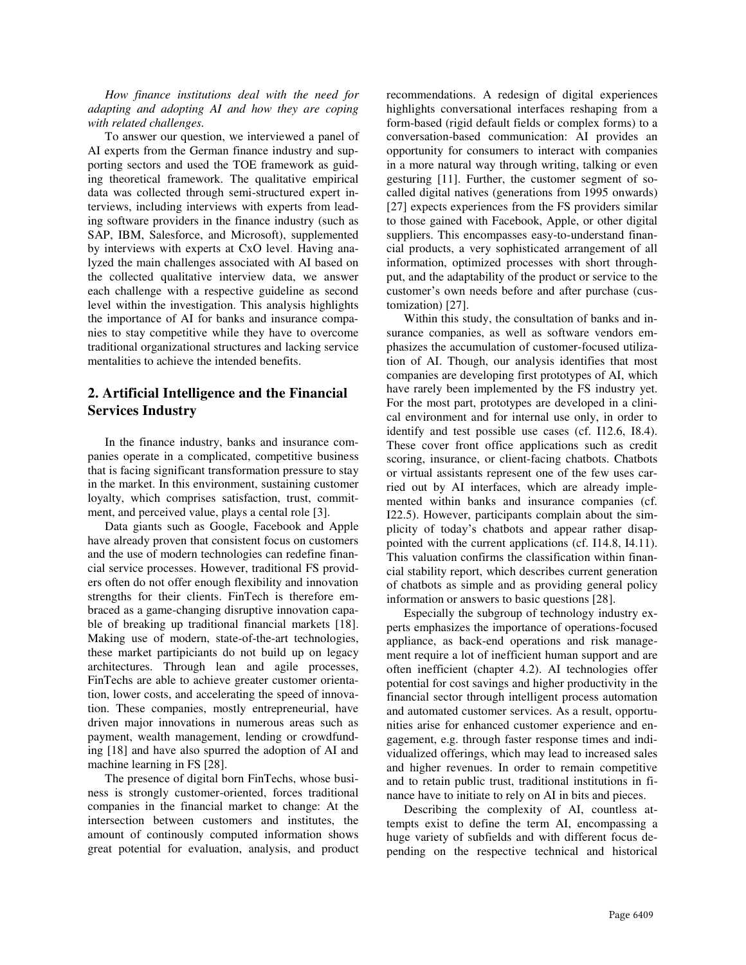*How finance institutions deal with the need for adapting and adopting AI and how they are coping with related challenges.*

To answer our question, we interviewed a panel of AI experts from the German finance industry and supporting sectors and used the TOE framework as guiding theoretical framework. The qualitative empirical data was collected through semi-structured expert interviews, including interviews with experts from leading software providers in the finance industry (such as SAP, IBM, Salesforce, and Microsoft), supplemented by interviews with experts at CxO level. Having analyzed the main challenges associated with AI based on the collected qualitative interview data, we answer each challenge with a respective guideline as second level within the investigation. This analysis highlights the importance of AI for banks and insurance companies to stay competitive while they have to overcome traditional organizational structures and lacking service mentalities to achieve the intended benefits.

## **2. Artificial Intelligence and the Financial Services Industry**

In the finance industry, banks and insurance companies operate in a complicated, competitive business that is facing significant transformation pressure to stay in the market. In this environment, sustaining customer loyalty, which comprises satisfaction, trust, commitment, and perceived value, plays a cental role [3].

Data giants such as Google, Facebook and Apple have already proven that consistent focus on customers and the use of modern technologies can redefine financial service processes. However, traditional FS providers often do not offer enough flexibility and innovation strengths for their clients. FinTech is therefore embraced as a game-changing disruptive innovation capable of breaking up traditional financial markets [18]. Making use of modern, state-of-the-art technologies, these market partipiciants do not build up on legacy architectures. Through lean and agile processes, FinTechs are able to achieve greater customer orientation, lower costs, and accelerating the speed of innovation. These companies, mostly entrepreneurial, have driven major innovations in numerous areas such as payment, wealth management, lending or crowdfunding [18] and have also spurred the adoption of AI and machine learning in FS [28].

The presence of digital born FinTechs, whose business is strongly customer-oriented, forces traditional companies in the financial market to change: At the intersection between customers and institutes, the amount of continously computed information shows great potential for evaluation, analysis, and product

recommendations. A redesign of digital experiences highlights conversational interfaces reshaping from a form-based (rigid default fields or complex forms) to a conversation-based communication: AI provides an opportunity for consumers to interact with companies in a more natural way through writing, talking or even gesturing [11]. Further, the customer segment of socalled digital natives (generations from 1995 onwards) [27] expects experiences from the FS providers similar to those gained with Facebook, Apple, or other digital suppliers. This encompasses easy-to-understand financial products, a very sophisticated arrangement of all information, optimized processes with short throughput, and the adaptability of the product or service to the customer's own needs before and after purchase (customization) [27].

Within this study, the consultation of banks and insurance companies, as well as software vendors emphasizes the accumulation of customer-focused utilization of AI. Though, our analysis identifies that most companies are developing first prototypes of AI, which have rarely been implemented by the FS industry yet. For the most part, prototypes are developed in a clinical environment and for internal use only, in order to identify and test possible use cases (cf. I12.6, I8.4). These cover front office applications such as credit scoring, insurance, or client-facing chatbots. Chatbots or virtual assistants represent one of the few uses carried out by AI interfaces, which are already implemented within banks and insurance companies (cf. I22.5). However, participants complain about the simplicity of today's chatbots and appear rather disappointed with the current applications (cf. I14.8, I4.11). This valuation confirms the classification within financial stability report, which describes current generation of chatbots as simple and as providing general policy information or answers to basic questions [28].

Especially the subgroup of technology industry experts emphasizes the importance of operations-focused appliance, as back-end operations and risk management require a lot of inefficient human support and are often inefficient (chapter 4.2). AI technologies offer potential for cost savings and higher productivity in the financial sector through intelligent process automation and automated customer services. As a result, opportunities arise for enhanced customer experience and engagement, e.g. through faster response times and individualized offerings, which may lead to increased sales and higher revenues. In order to remain competitive and to retain public trust, traditional institutions in finance have to initiate to rely on AI in bits and pieces.

Describing the complexity of AI, countless attempts exist to define the term AI, encompassing a huge variety of subfields and with different focus depending on the respective technical and historical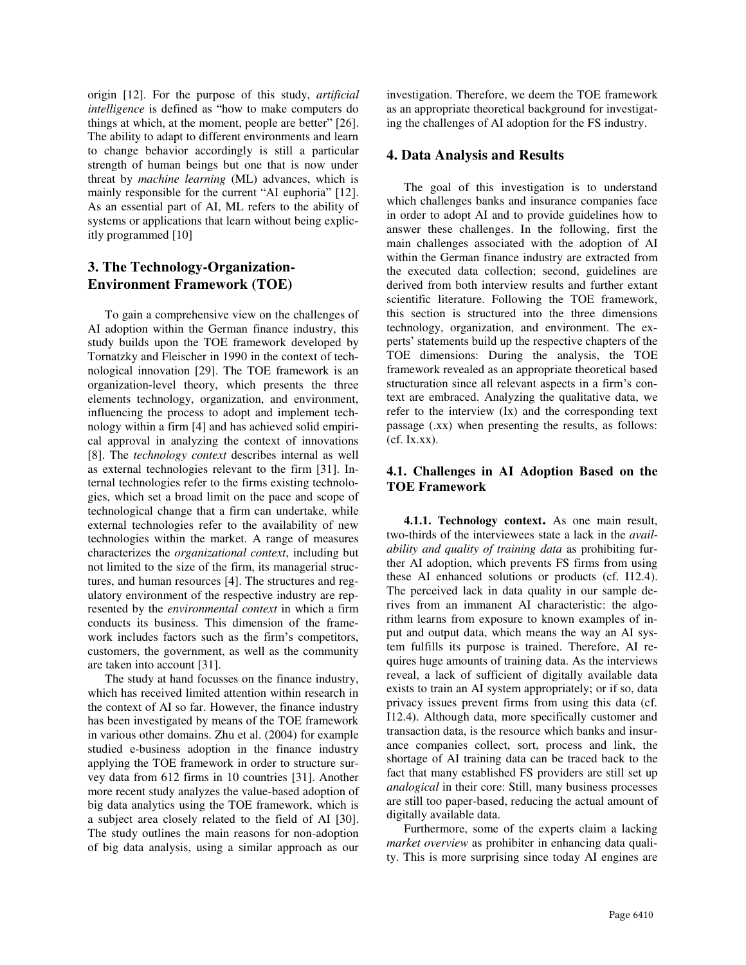origin [12]. For the purpose of this study, *artificial intelligence* is defined as "how to make computers do things at which, at the moment, people are better" [26]. The ability to adapt to different environments and learn to change behavior accordingly is still a particular strength of human beings but one that is now under threat by *machine learning* (ML) advances, which is mainly responsible for the current "AI euphoria" [12]. As an essential part of AI, ML refers to the ability of systems or applications that learn without being explicitly programmed [10]

## **3. The Technology-Organization-Environment Framework (TOE)**

To gain a comprehensive view on the challenges of AI adoption within the German finance industry, this study builds upon the TOE framework developed by Tornatzky and Fleischer in 1990 in the context of technological innovation [29]. The TOE framework is an organization-level theory, which presents the three elements technology, organization, and environment, influencing the process to adopt and implement technology within a firm [4] and has achieved solid empirical approval in analyzing the context of innovations [8]. The *technology context* describes internal as well as external technologies relevant to the firm [31]. Internal technologies refer to the firms existing technologies, which set a broad limit on the pace and scope of technological change that a firm can undertake, while external technologies refer to the availability of new technologies within the market. A range of measures characterizes the *organizational context*, including but not limited to the size of the firm, its managerial structures, and human resources [4]. The structures and regulatory environment of the respective industry are represented by the *environmental context* in which a firm conducts its business. This dimension of the framework includes factors such as the firm's competitors, customers, the government, as well as the community are taken into account [31].

The study at hand focusses on the finance industry, which has received limited attention within research in the context of AI so far. However, the finance industry has been investigated by means of the TOE framework in various other domains. Zhu et al. (2004) for example studied e-business adoption in the finance industry applying the TOE framework in order to structure survey data from 612 firms in 10 countries [31]. Another more recent study analyzes the value-based adoption of big data analytics using the TOE framework, which is a subject area closely related to the field of AI [30]. The study outlines the main reasons for non-adoption of big data analysis, using a similar approach as our investigation. Therefore, we deem the TOE framework as an appropriate theoretical background for investigating the challenges of AI adoption for the FS industry.

### **4. Data Analysis and Results**

The goal of this investigation is to understand which challenges banks and insurance companies face in order to adopt AI and to provide guidelines how to answer these challenges. In the following, first the main challenges associated with the adoption of AI within the German finance industry are extracted from the executed data collection; second, guidelines are derived from both interview results and further extant scientific literature. Following the TOE framework, this section is structured into the three dimensions technology, organization, and environment. The experts' statements build up the respective chapters of the TOE dimensions: During the analysis, the TOE framework revealed as an appropriate theoretical based structuration since all relevant aspects in a firm's context are embraced. Analyzing the qualitative data, we refer to the interview (Ix) and the corresponding text passage (.xx) when presenting the results, as follows: (cf. Ix.xx).

### **4.1. Challenges in AI Adoption Based on the TOE Framework**

**4.1.1. Technology context.** As one main result, two-thirds of the interviewees state a lack in the *availability and quality of training data* as prohibiting further AI adoption, which prevents FS firms from using these AI enhanced solutions or products (cf. I12.4). The perceived lack in data quality in our sample derives from an immanent AI characteristic: the algorithm learns from exposure to known examples of input and output data, which means the way an AI system fulfills its purpose is trained. Therefore, AI requires huge amounts of training data. As the interviews reveal, a lack of sufficient of digitally available data exists to train an AI system appropriately; or if so, data privacy issues prevent firms from using this data (cf. I12.4). Although data, more specifically customer and transaction data, is the resource which banks and insurance companies collect, sort, process and link, the shortage of AI training data can be traced back to the fact that many established FS providers are still set up *analogical* in their core: Still, many business processes are still too paper-based, reducing the actual amount of digitally available data.

Furthermore, some of the experts claim a lacking *market overview* as prohibiter in enhancing data quality. This is more surprising since today AI engines are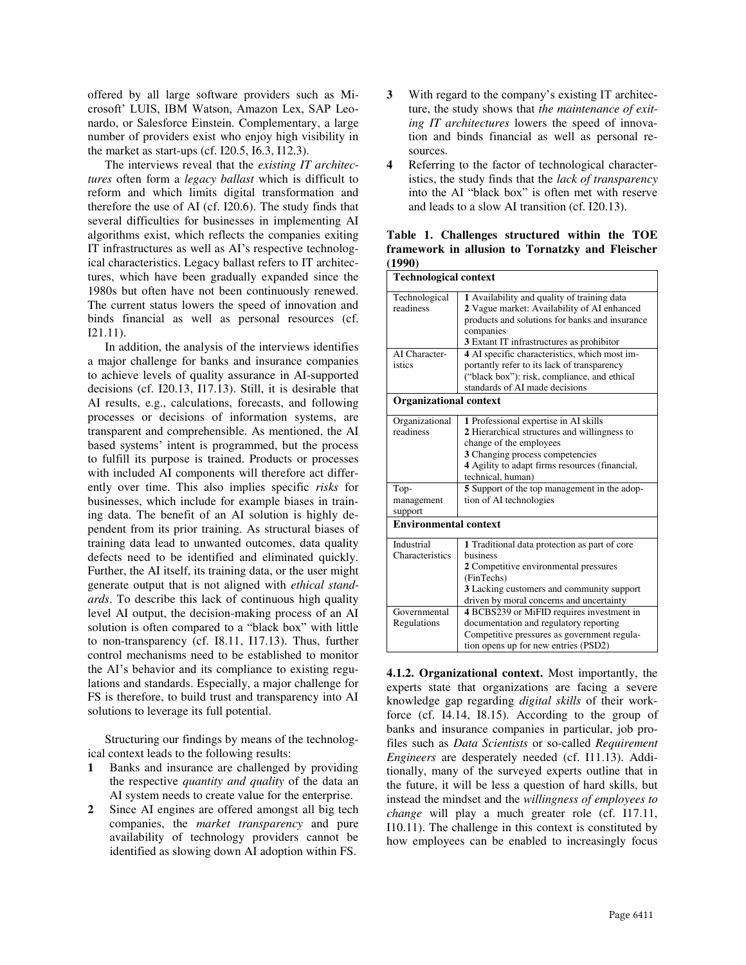offered by all large software providers such as Microsoft' LUIS, IBM Watson, Amazon Lex, SAP Leonardo, or Salesforce Einstein. Complementary, a large number of providers exist who enjoy high visibility in the market as start-ups (cf. I20.5, I6.3, I12.3).

The interviews reveal that the *existing IT architectures* often form a *legacy ballast* which is difficult to reform and which limits digital transformation and therefore the use of AI (cf. I20.6). The study finds that several difficulties for businesses in implementing AI algorithms exist, which reflects the companies exiting IT infrastructures as well as AI's respective technological characteristics. Legacy ballast refers to IT architectures, which have been gradually expanded since the 1980s but often have not been continuously renewed. The current status lowers the speed of innovation and binds financial as well as personal resources (cf. I21.11).

In addition, the analysis of the interviews identifies a major challenge for banks and insurance companies to achieve levels of quality assurance in AI-supported decisions (cf. I20.13, I17.13). Still, it is desirable that AI results, e.g., calculations, forecasts, and following processes or decisions of information systems, are transparent and comprehensible. As mentioned, the AI based systems' intent is programmed, but the process to fulfill its purpose is trained. Products or processes with included AI components will therefore act differently over time. This also implies specific *risks* for businesses, which include for example biases in training data. The benefit of an AI solution is highly dependent from its prior training. As structural biases of training data lead to unwanted outcomes, data quality defects need to be identified and eliminated quickly. Further, the AI itself, its training data, or the user might generate output that is not aligned with *ethical standards*. To describe this lack of continuous high quality level AI output, the decision-making process of an AI solution is often compared to a "black box" with little to non-transparency (cf. I8.11, I17.13). Thus, further control mechanisms need to be established to monitor the AI's behavior and its compliance to existing regulations and standards. Especially, a major challenge for FS is therefore, to build trust and transparency into AI solutions to leverage its full potential.

Structuring our findings by means of the technological context leads to the following results:

- **1** Banks and insurance are challenged by providing the respective *quantity and quality* of the data an AI system needs to create value for the enterprise.
- **2** Since AI engines are offered amongst all big tech companies, the *market transparency* and pure availability of technology providers cannot be identified as slowing down AI adoption within FS.
- **3** With regard to the company's existing IT architecture, the study shows that *the maintenance of exiting IT architectures* lowers the speed of innovation and binds financial as well as personal resources.
- **4** Referring to the factor of technological characteristics, the study finds that the *lack of transparency* into the AI "black box" is often met with reserve and leads to a slow AI transition (cf. I20.13).

**Table 1. Challenges structured within the TOE framework in allusion to Tornatzky and Fleischer (1990)**

| <b>Technological context</b>  |                                                                                                                                                                                                                            |  |  |  |
|-------------------------------|----------------------------------------------------------------------------------------------------------------------------------------------------------------------------------------------------------------------------|--|--|--|
| Technological<br>readiness    | 1 Availability and quality of training data<br>2 Vague market: Availability of AI enhanced<br>products and solutions for banks and insurance<br>companies<br>3 Extant IT infrastructures as prohibitor                     |  |  |  |
| AI Character-<br>istics       | 4 AI specific characteristics, which most im-<br>portantly refer to its lack of transparency<br>("black box"): risk, compliance, and ethical<br>standards of AI made decisions                                             |  |  |  |
| <b>Organizational context</b> |                                                                                                                                                                                                                            |  |  |  |
| Organizational<br>readiness   | 1 Professional expertise in AI skills<br>2 Hierarchical structures and willingness to<br>change of the employees<br>3 Changing process competencies<br>4 Agility to adapt firms resources (financial,<br>technical, human) |  |  |  |
| Top-<br>management<br>support | 5 Support of the top management in the adop-<br>tion of AI technologies                                                                                                                                                    |  |  |  |
| <b>Environmental context</b>  |                                                                                                                                                                                                                            |  |  |  |
| Industrial<br>Characteristics | 1 Traditional data protection as part of core<br>business<br>2 Competitive environmental pressures<br>(FinTechs)<br>3 Lacking customers and community support<br>driven by moral concerns and uncertainty                  |  |  |  |
| Governmental<br>Regulations   | 4 BCBS239 or MiFID requires investment in<br>documentation and regulatory reporting<br>Competitive pressures as government regula-<br>tion opens up for new entries (PSD2)                                                 |  |  |  |

**4.1.2. Organizational context.** Most importantly, the experts state that organizations are facing a severe knowledge gap regarding *digital skills* of their workforce (cf. I4.14, I8.15). According to the group of banks and insurance companies in particular, job profiles such as *Data Scientists* or so-called *Requirement Engineers* are desperately needed (cf. I11.13). Additionally, many of the surveyed experts outline that in the future, it will be less a question of hard skills, but instead the mindset and the *willingness of employees to change* will play a much greater role (cf. I17.11, I10.11). The challenge in this context is constituted by how employees can be enabled to increasingly focus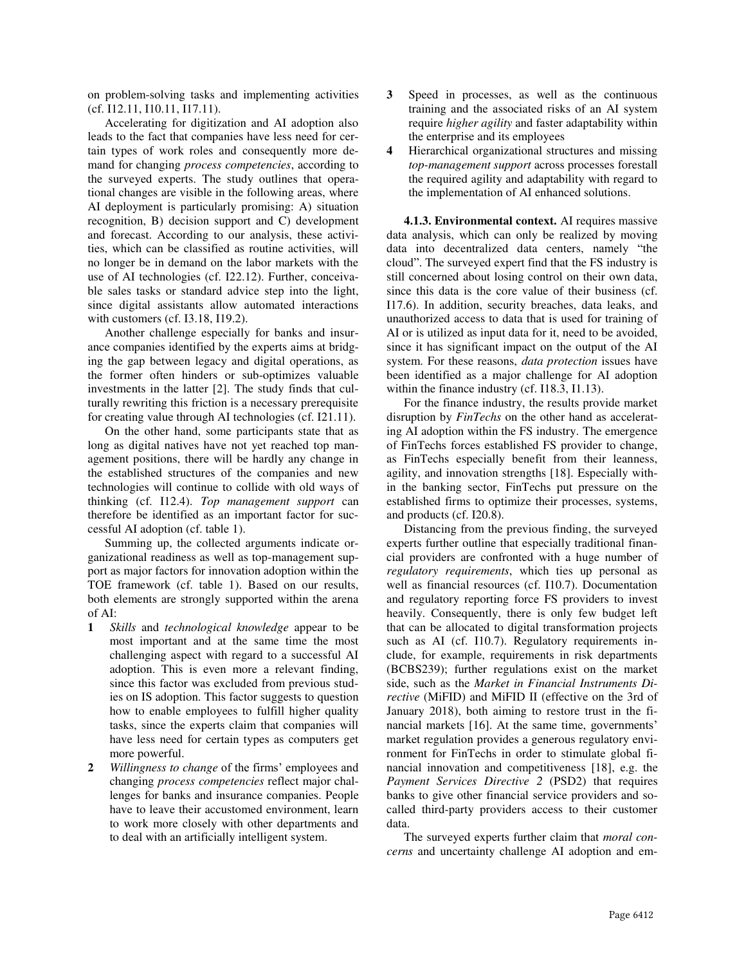on problem-solving tasks and implementing activities (cf. I12.11, I10.11, I17.11).

Accelerating for digitization and AI adoption also leads to the fact that companies have less need for certain types of work roles and consequently more demand for changing *process competencies*, according to the surveyed experts. The study outlines that operational changes are visible in the following areas, where AI deployment is particularly promising: A) situation recognition, B) decision support and C) development and forecast. According to our analysis, these activities, which can be classified as routine activities, will no longer be in demand on the labor markets with the use of AI technologies (cf. I22.12). Further, conceivable sales tasks or standard advice step into the light, since digital assistants allow automated interactions with customers (cf. I3.18, I19.2).

Another challenge especially for banks and insurance companies identified by the experts aims at bridging the gap between legacy and digital operations, as the former often hinders or sub-optimizes valuable investments in the latter [2]. The study finds that culturally rewriting this friction is a necessary prerequisite for creating value through AI technologies (cf. I21.11).

On the other hand, some participants state that as long as digital natives have not yet reached top management positions, there will be hardly any change in the established structures of the companies and new technologies will continue to collide with old ways of thinking (cf. I12.4). *Top management support* can therefore be identified as an important factor for successful AI adoption (cf. table 1).

Summing up, the collected arguments indicate organizational readiness as well as top-management support as major factors for innovation adoption within the TOE framework (cf. table 1). Based on our results, both elements are strongly supported within the arena of AI:

- **1** *Skills* and *technological knowledge* appear to be most important and at the same time the most challenging aspect with regard to a successful AI adoption. This is even more a relevant finding, since this factor was excluded from previous studies on IS adoption. This factor suggests to question how to enable employees to fulfill higher quality tasks, since the experts claim that companies will have less need for certain types as computers get more powerful.
- **2** *Willingness to change* of the firms' employees and changing *process competencies* reflect major challenges for banks and insurance companies. People have to leave their accustomed environment, learn to work more closely with other departments and to deal with an artificially intelligent system.
- **3** Speed in processes, as well as the continuous training and the associated risks of an AI system require *higher agility* and faster adaptability within the enterprise and its employees
- **4** Hierarchical organizational structures and missing *top-management support* across processes forestall the required agility and adaptability with regard to the implementation of AI enhanced solutions.

**4.1.3. Environmental context.** AI requires massive data analysis, which can only be realized by moving data into decentralized data centers, namely "the cloud". The surveyed expert find that the FS industry is still concerned about losing control on their own data, since this data is the core value of their business (cf. I17.6). In addition, security breaches, data leaks, and unauthorized access to data that is used for training of AI or is utilized as input data for it, need to be avoided, since it has significant impact on the output of the AI system. For these reasons, *data protection* issues have been identified as a major challenge for AI adoption within the finance industry (cf. I18.3, I1.13).

For the finance industry, the results provide market disruption by *FinTechs* on the other hand as accelerating AI adoption within the FS industry. The emergence of FinTechs forces established FS provider to change, as FinTechs especially benefit from their leanness, agility, and innovation strengths [18]. Especially within the banking sector, FinTechs put pressure on the established firms to optimize their processes, systems, and products (cf. I20.8).

Distancing from the previous finding, the surveyed experts further outline that especially traditional financial providers are confronted with a huge number of *regulatory requirements*, which ties up personal as well as financial resources (cf. I10.7). Documentation and regulatory reporting force FS providers to invest heavily. Consequently, there is only few budget left that can be allocated to digital transformation projects such as AI (cf. 110.7). Regulatory requirements include, for example, requirements in risk departments (BCBS239); further regulations exist on the market side, such as the *Market in Financial Instruments Directive* (MiFID) and MiFID II (effective on the 3rd of January 2018), both aiming to restore trust in the financial markets [16]. At the same time, governments' market regulation provides a generous regulatory environment for FinTechs in order to stimulate global financial innovation and competitiveness [18], e.g. the *Payment Services Directive 2* (PSD2) that requires banks to give other financial service providers and socalled third-party providers access to their customer data.

The surveyed experts further claim that *moral concerns* and uncertainty challenge AI adoption and em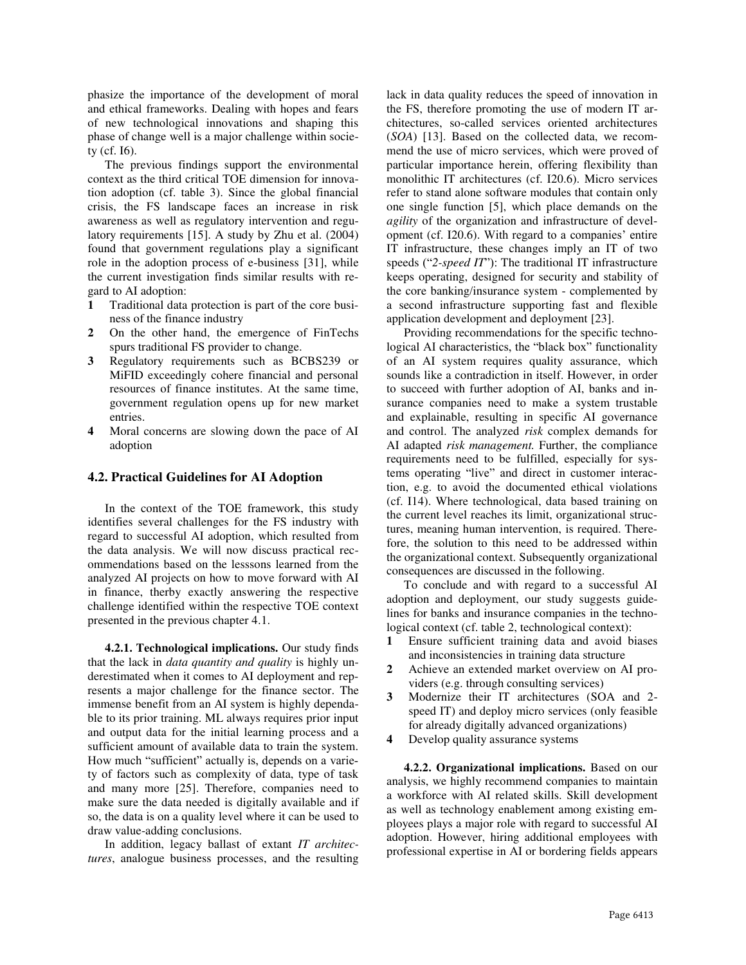phasize the importance of the development of moral and ethical frameworks. Dealing with hopes and fears of new technological innovations and shaping this phase of change well is a major challenge within society (cf. I6).

The previous findings support the environmental context as the third critical TOE dimension for innovation adoption (cf. table 3). Since the global financial crisis, the FS landscape faces an increase in risk awareness as well as regulatory intervention and regulatory requirements [15]. A study by Zhu et al. (2004) found that government regulations play a significant role in the adoption process of e-business [31], while the current investigation finds similar results with regard to AI adoption:

- **1** Traditional data protection is part of the core business of the finance industry
- **2** On the other hand, the emergence of FinTechs spurs traditional FS provider to change.
- **3** Regulatory requirements such as BCBS239 or MiFID exceedingly cohere financial and personal resources of finance institutes. At the same time, government regulation opens up for new market entries.
- **4** Moral concerns are slowing down the pace of AI adoption

#### **4.2. Practical Guidelines for AI Adoption**

In the context of the TOE framework, this study identifies several challenges for the FS industry with regard to successful AI adoption, which resulted from the data analysis. We will now discuss practical recommendations based on the lesssons learned from the analyzed AI projects on how to move forward with AI in finance, therby exactly answering the respective challenge identified within the respective TOE context presented in the previous chapter 4.1.

**4.2.1. Technological implications.** Our study finds that the lack in *data quantity and quality* is highly underestimated when it comes to AI deployment and represents a major challenge for the finance sector. The immense benefit from an AI system is highly dependable to its prior training. ML always requires prior input and output data for the initial learning process and a sufficient amount of available data to train the system. How much "sufficient" actually is, depends on a variety of factors such as complexity of data, type of task and many more [25]. Therefore, companies need to make sure the data needed is digitally available and if so, the data is on a quality level where it can be used to draw value-adding conclusions.

In addition, legacy ballast of extant *IT architectures*, analogue business processes, and the resulting

lack in data quality reduces the speed of innovation in the FS, therefore promoting the use of modern IT architectures, so-called services oriented architectures (*SOA*) [13]. Based on the collected data, we recommend the use of micro services, which were proved of particular importance herein, offering flexibility than monolithic IT architectures (cf. I20.6). Micro services refer to stand alone software modules that contain only one single function [5], which place demands on the *agility* of the organization and infrastructure of development (cf. I20.6). With regard to a companies' entire IT infrastructure, these changes imply an IT of two speeds ("*2-speed IT*"): The traditional IT infrastructure keeps operating, designed for security and stability of the core banking/insurance system - complemented by a second infrastructure supporting fast and flexible application development and deployment [23].

Providing recommendations for the specific technological AI characteristics, the "black box" functionality of an AI system requires quality assurance, which sounds like a contradiction in itself. However, in order to succeed with further adoption of AI, banks and insurance companies need to make a system trustable and explainable, resulting in specific AI governance and control. The analyzed *risk* complex demands for AI adapted *risk management.* Further, the compliance requirements need to be fulfilled, especially for systems operating "live" and direct in customer interaction, e.g. to avoid the documented ethical violations (cf. I14). Where technological, data based training on the current level reaches its limit, organizational structures, meaning human intervention, is required. Therefore, the solution to this need to be addressed within the organizational context. Subsequently organizational consequences are discussed in the following.

To conclude and with regard to a successful AI adoption and deployment, our study suggests guidelines for banks and insurance companies in the technological context (cf. table 2, technological context):

- **1** Ensure sufficient training data and avoid biases and inconsistencies in training data structure
- **2** Achieve an extended market overview on AI providers (e.g. through consulting services)
- **3** Modernize their IT architectures (SOA and 2 speed IT) and deploy micro services (only feasible for already digitally advanced organizations)
- **4** Develop quality assurance systems

**4.2.2. Organizational implications.** Based on our analysis, we highly recommend companies to maintain a workforce with AI related skills. Skill development as well as technology enablement among existing employees plays a major role with regard to successful AI adoption. However, hiring additional employees with professional expertise in AI or bordering fields appears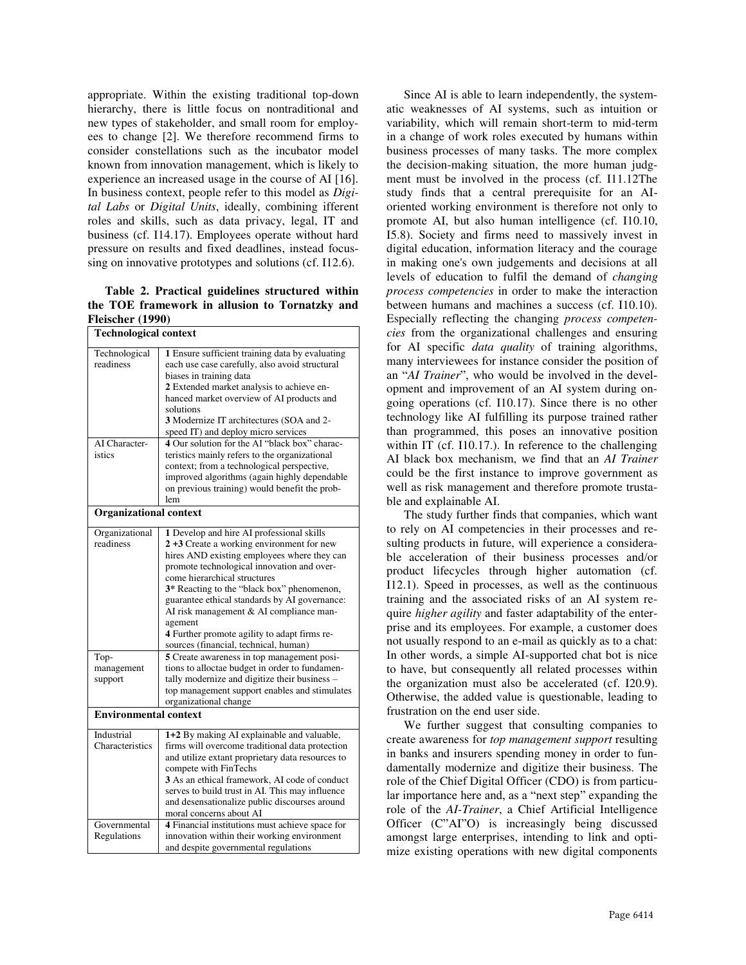appropriate. Within the existing traditional top-down hierarchy, there is little focus on nontraditional and new types of stakeholder, and small room for employees to change [2]. We therefore recommend firms to consider constellations such as the incubator model known from innovation management, which is likely to experience an increased usage in the course of AI [16]. In business context, people refer to this model as *Digital Labs* or *Digital Units*, ideally, combining ifferent roles and skills, such as data privacy, legal, IT and business (cf. I14.17). Employees operate without hard pressure on results and fixed deadlines, instead focussing on innovative prototypes and solutions (cf. I12.6).

**Table 2. Practical guidelines structured within the TOE framework in allusion to Tornatzky and Fleischer (1990)**

| <b>Technological context</b>                  |                                                                                                                                                                                                                                                                                                                                                                                                                                                                   |  |  |  |
|-----------------------------------------------|-------------------------------------------------------------------------------------------------------------------------------------------------------------------------------------------------------------------------------------------------------------------------------------------------------------------------------------------------------------------------------------------------------------------------------------------------------------------|--|--|--|
| Technological<br>readiness                    | 1 Ensure sufficient training data by evaluating<br>each use case carefully, also avoid structural<br>biases in training data<br>2 Extended market analysis to achieve en-<br>hanced market overview of AI products and<br>solutions<br>3 Modernize IT architectures (SOA and 2-<br>speed IT) and deploy micro services                                                                                                                                            |  |  |  |
| AI Character-<br>istics                       | 4 Our solution for the AI "black box" charac-<br>teristics mainly refers to the organizational<br>context; from a technological perspective,<br>improved algorithms (again highly dependable<br>on previous training) would benefit the prob-<br>lem                                                                                                                                                                                                              |  |  |  |
| <b>Organizational context</b>                 |                                                                                                                                                                                                                                                                                                                                                                                                                                                                   |  |  |  |
| Organizational<br>readiness                   | 1 Develop and hire AI professional skills<br>2 +3 Create a working environment for new<br>hires AND existing employees where they can<br>promote technological innovation and over-<br>come hierarchical structures<br>3* Reacting to the "black box" phenomenon,<br>guarantee ethical standards by AI governance:<br>AI risk management & AI compliance man-<br>agement<br>4 Further promote agility to adapt firms re-<br>sources (financial, technical, human) |  |  |  |
| Top-<br>management<br>support                 | 5 Create awareness in top management posi-<br>tions to alloctae budget in order to fundamen-<br>tally modernize and digitize their business -<br>top management support enables and stimulates<br>organizational change                                                                                                                                                                                                                                           |  |  |  |
| <b>Environmental context</b>                  |                                                                                                                                                                                                                                                                                                                                                                                                                                                                   |  |  |  |
| Industrial<br>Characteristics<br>Governmental | 1+2 By making AI explainable and valuable,<br>firms will overcome traditional data protection<br>and utilize extant proprietary data resources to<br>compete with FinTechs<br>3 As an ethical framework, AI code of conduct<br>serves to build trust in AI. This may influence<br>and desensationalize public discourses around<br>moral concerns about AI<br>4 Financial institutions must achieve space for                                                     |  |  |  |
| Regulations                                   | innovation within their working environment<br>and despite governmental regulations                                                                                                                                                                                                                                                                                                                                                                               |  |  |  |

Since AI is able to learn independently, the systematic weaknesses of AI systems, such as intuition or variability, which will remain short-term to mid-term in a change of work roles executed by humans within business processes of many tasks. The more complex the decision-making situation, the more human judgment must be involved in the process (cf. I11.12The study finds that a central prerequisite for an AIoriented working environment is therefore not only to promote AI, but also human intelligence (cf. I10.10, I5.8). Society and firms need to massively invest in digital education, information literacy and the courage in making one's own judgements and decisions at all levels of education to fulfil the demand of *changing process competencies* in order to make the interaction between humans and machines a success (cf. I10.10). Especially reflecting the changing *process competencies* from the organizational challenges and ensuring for AI specific *data quality* of training algorithms, many interviewees for instance consider the position of an "*AI Trainer*", who would be involved in the development and improvement of an AI system during ongoing operations (cf. I10.17). Since there is no other technology like AI fulfilling its purpose trained rather than programmed, this poses an innovative position within IT (cf. I10.17.). In reference to the challenging AI black box mechanism, we find that an *AI Trainer* could be the first instance to improve government as well as risk management and therefore promote trustable and explainable AI.

The study further finds that companies, which want to rely on AI competencies in their processes and resulting products in future, will experience a considerable acceleration of their business processes and/or product lifecycles through higher automation (cf. I12.1). Speed in processes, as well as the continuous training and the associated risks of an AI system require *higher agility* and faster adaptability of the enterprise and its employees. For example, a customer does not usually respond to an e-mail as quickly as to a chat: In other words, a simple AI-supported chat bot is nice to have, but consequently all related processes within the organization must also be accelerated (cf. I20.9). Otherwise, the added value is questionable, leading to frustration on the end user side.

We further suggest that consulting companies to create awareness for *top management support* resulting in banks and insurers spending money in order to fundamentally modernize and digitize their business. The role of the Chief Digital Officer (CDO) is from particular importance here and, as a "next step" expanding the role of the *AI-Trainer*, a Chief Artificial Intelligence Officer (C"AI"O) is increasingly being discussed amongst large enterprises, intending to link and optimize existing operations with new digital components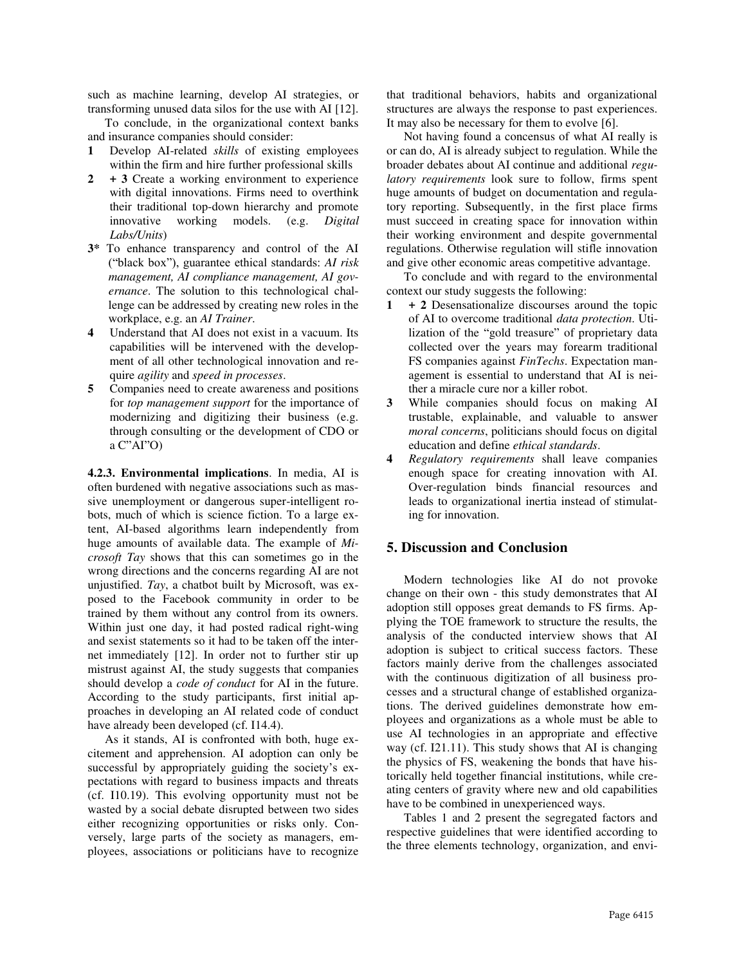such as machine learning, develop AI strategies, or transforming unused data silos for the use with AI [12].

To conclude, in the organizational context banks and insurance companies should consider:

- **1** Develop AI-related *skills* of existing employees within the firm and hire further professional skills
- **2 + 3** Create a working environment to experience with digital innovations. Firms need to overthink their traditional top-down hierarchy and promote innovative working models. (e.g. *Digital Labs/Units*)
- **3\*** To enhance transparency and control of the AI ("black box"), guarantee ethical standards: *AI risk management, AI compliance management, AI governance*. The solution to this technological challenge can be addressed by creating new roles in the workplace, e.g. an *AI Trainer*.
- **4** Understand that AI does not exist in a vacuum. Its capabilities will be intervened with the development of all other technological innovation and require *agility* and *speed in processes*.
- **5** Companies need to create awareness and positions for *top management support* for the importance of modernizing and digitizing their business (e.g. through consulting or the development of CDO or a C"AI"O)

**4.2.3. Environmental implications**. In media, AI is often burdened with negative associations such as massive unemployment or dangerous super-intelligent robots, much of which is science fiction. To a large extent, AI-based algorithms learn independently from huge amounts of available data. The example of *Microsoft Tay* shows that this can sometimes go in the wrong directions and the concerns regarding AI are not unjustified. *Tay*, a chatbot built by Microsoft, was exposed to the Facebook community in order to be trained by them without any control from its owners. Within just one day, it had posted radical right-wing and sexist statements so it had to be taken off the internet immediately [12]. In order not to further stir up mistrust against AI, the study suggests that companies should develop a *code of conduct* for AI in the future. According to the study participants, first initial approaches in developing an AI related code of conduct have already been developed (cf. I14.4).

As it stands, AI is confronted with both, huge excitement and apprehension. AI adoption can only be successful by appropriately guiding the society's expectations with regard to business impacts and threats (cf. I10.19). This evolving opportunity must not be wasted by a social debate disrupted between two sides either recognizing opportunities or risks only. Conversely, large parts of the society as managers, employees, associations or politicians have to recognize

that traditional behaviors, habits and organizational structures are always the response to past experiences. It may also be necessary for them to evolve [6].

Not having found a concensus of what AI really is or can do, AI is already subject to regulation. While the broader debates about AI continue and additional *regulatory requirements* look sure to follow, firms spent huge amounts of budget on documentation and regulatory reporting. Subsequently, in the first place firms must succeed in creating space for innovation within their working environment and despite governmental regulations. Otherwise regulation will stifle innovation and give other economic areas competitive advantage.

To conclude and with regard to the environmental context our study suggests the following:

- **1 + 2** Desensationalize discourses around the topic of AI to overcome traditional *data protection*. Utilization of the "gold treasure" of proprietary data collected over the years may forearm traditional FS companies against *FinTechs*. Expectation management is essential to understand that AI is neither a miracle cure nor a killer robot.
- **3** While companies should focus on making AI trustable, explainable, and valuable to answer *moral concerns*, politicians should focus on digital education and define *ethical standards*.
- **4** *Regulatory requirements* shall leave companies enough space for creating innovation with AI. Over-regulation binds financial resources and leads to organizational inertia instead of stimulating for innovation.

## **5. Discussion and Conclusion**

Modern technologies like AI do not provoke change on their own - this study demonstrates that AI adoption still opposes great demands to FS firms. Applying the TOE framework to structure the results, the analysis of the conducted interview shows that AI adoption is subject to critical success factors. These factors mainly derive from the challenges associated with the continuous digitization of all business processes and a structural change of established organizations. The derived guidelines demonstrate how employees and organizations as a whole must be able to use AI technologies in an appropriate and effective way (cf. I21.11). This study shows that AI is changing the physics of FS, weakening the bonds that have historically held together financial institutions, while creating centers of gravity where new and old capabilities have to be combined in unexperienced ways.

Tables 1 and 2 present the segregated factors and respective guidelines that were identified according to the three elements technology, organization, and envi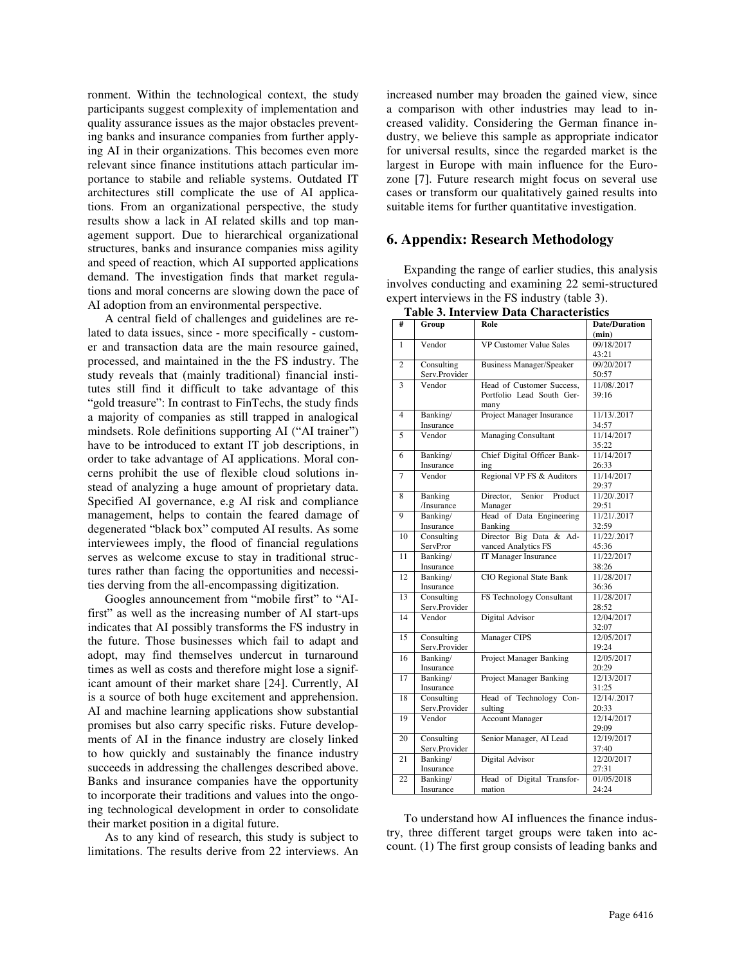ronment. Within the technological context, the study participants suggest complexity of implementation and quality assurance issues as the major obstacles preventing banks and insurance companies from further applying AI in their organizations. This becomes even more relevant since finance institutions attach particular importance to stabile and reliable systems. Outdated IT architectures still complicate the use of AI applications. From an organizational perspective, the study results show a lack in AI related skills and top management support. Due to hierarchical organizational structures, banks and insurance companies miss agility and speed of reaction, which AI supported applications demand. The investigation finds that market regulations and moral concerns are slowing down the pace of AI adoption from an environmental perspective.

A central field of challenges and guidelines are related to data issues, since - more specifically - customer and transaction data are the main resource gained, processed, and maintained in the the FS industry. The study reveals that (mainly traditional) financial institutes still find it difficult to take advantage of this "gold treasure": In contrast to FinTechs, the study finds a majority of companies as still trapped in analogical mindsets. Role definitions supporting AI ("AI trainer") have to be introduced to extant IT job descriptions, in order to take advantage of AI applications. Moral concerns prohibit the use of flexible cloud solutions instead of analyzing a huge amount of proprietary data. Specified AI governance, e.g AI risk and compliance management, helps to contain the feared damage of degenerated "black box" computed AI results. As some interviewees imply, the flood of financial regulations serves as welcome excuse to stay in traditional structures rather than facing the opportunities and necessities derving from the all-encompassing digitization.

Googles announcement from "mobile first" to "AIfirst" as well as the increasing number of AI start-ups indicates that AI possibly transforms the FS industry in the future. Those businesses which fail to adapt and adopt, may find themselves undercut in turnaround times as well as costs and therefore might lose a significant amount of their market share [24]. Currently, AI is a source of both huge excitement and apprehension. AI and machine learning applications show substantial promises but also carry specific risks. Future developments of AI in the finance industry are closely linked to how quickly and sustainably the finance industry succeeds in addressing the challenges described above. Banks and insurance companies have the opportunity to incorporate their traditions and values into the ongoing technological development in order to consolidate their market position in a digital future.

As to any kind of research, this study is subject to limitations. The results derive from 22 interviews. An

increased number may broaden the gained view, since a comparison with other industries may lead to increased validity. Considering the German finance industry, we believe this sample as appropriate indicator for universal results, since the regarded market is the largest in Europe with main influence for the Eurozone [7]. Future research might focus on several use cases or transform our qualitatively gained results into suitable items for further quantitative investigation.

#### **6. Appendix: Research Methodology**

Expanding the range of earlier studies, this analysis involves conducting and examining 22 semi-structured expert interviews in the FS industry (table 3).

| #               | Group         | Role                            | <b>Date/Duration</b> |
|-----------------|---------------|---------------------------------|----------------------|
|                 |               |                                 | (min)                |
| $\mathbf{1}$    | Vendor        | <b>VP Customer Value Sales</b>  | 09/18/2017           |
|                 |               |                                 | 43:21                |
| $\overline{c}$  | Consulting    | <b>Business Manager/Speaker</b> | 09/20/2017           |
|                 | Serv.Provider |                                 | 50:57                |
| 3               | Vendor        | Head of Customer Success,       | 11/08/.2017          |
|                 |               | Portfolio Lead South Ger-       | 39:16                |
|                 |               | many                            |                      |
| $\overline{4}$  | Banking/      | Project Manager Insurance       | 11/13/.2017          |
|                 | Insurance     |                                 | 34:57                |
| 5               | Vendor        | <b>Managing Consultant</b>      | 11/14/2017           |
|                 |               |                                 | 35:22                |
| 6               | Banking/      | Chief Digital Officer Bank-     | 11/14/2017           |
|                 | Insurance     | ing                             | 26:33                |
| $\overline{7}$  | Vendor        | Regional VP FS & Auditors       | 11/14/2017           |
|                 |               |                                 | 29:37                |
| 8               | Banking       | Director.<br>Senior<br>Product  | 11/20/.2017          |
|                 | /Insurance    |                                 | 29:51                |
|                 |               | Manager                         | 11/21/.2017          |
| 9               | Banking/      | Head of Data Engineering        |                      |
|                 | Insurance     | Banking                         | 32:59                |
| 10              | Consulting    | Director Big Data & Ad-         | 11/22/.2017          |
|                 | ServPror      | vanced Analytics FS             | 45:36                |
| $\overline{11}$ | Banking/      | IT Manager Insurance            | 11/22/2017           |
|                 | Insurance     |                                 | 38:26                |
| 12              | Banking/      | <b>CIO</b> Regional State Bank  | 11/28/2017           |
|                 | Insurance     |                                 | 36:36                |
| 13              | Consulting    | <b>FS Technology Consultant</b> | 11/28/2017           |
|                 | Serv.Provider |                                 | 28:52                |
| 14              | Vendor        | Digital Advisor                 | 12/04/2017           |
|                 |               |                                 | 32:07                |
| 15              | Consulting    | <b>Manager CIPS</b>             | 12/05/2017           |
|                 | Serv.Provider |                                 | 19:24                |
| 16              | Banking/      | <b>Project Manager Banking</b>  | 12/05/2017           |
|                 | Insurance     |                                 | 20:29                |
| $\overline{17}$ | Banking/      | <b>Project Manager Banking</b>  | 12/13/2017           |
|                 | Insurance     |                                 | 31:25                |
| 18              | Consulting    | Head of Technology Con-         | 12/14/.2017          |
|                 | Serv.Provider | sulting                         | 20:33                |
| 19              | Vendor        | <b>Account Manager</b>          | 12/14/2017           |
|                 |               |                                 | 29:09                |
| 20              | Consulting    | Senior Manager, AI Lead         | 12/19/2017           |
|                 | Serv.Provider |                                 | 37:40                |
| 21              | Banking/      | <b>Digital Advisor</b>          | 12/20/2017           |
|                 |               |                                 | 27:31                |
|                 | Insurance     |                                 | 01/05/2018           |
| 22              | Banking/      | Head of Digital Transfor-       |                      |
|                 | Insurance     | mation                          | 24:24                |

**Table 3. Interview Data Characteristics**

To understand how AI influences the finance industry, three different target groups were taken into account. (1) The first group consists of leading banks and